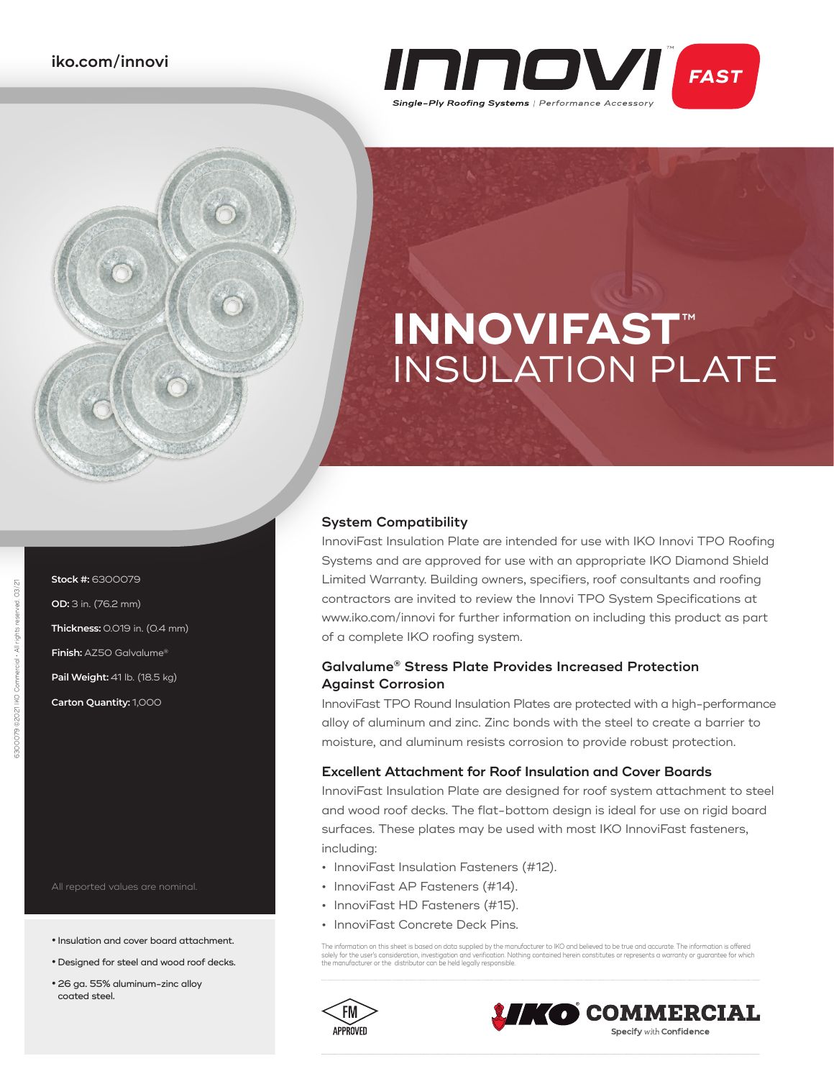

# **INNOVIFAST**™ INSULATION PLATE

### **System Compatibility**

InnoviFast Insulation Plate are intended for use with IKO Innovi TPO Roofing Systems and are approved for use with an appropriate IKO Diamond Shield Limited Warranty. Building owners, specifiers, roof consultants and roofing contractors are invited to review the Innovi TPO System Specifications at www.iko.com/innovi for further information on including this product as part of a complete IKO roofing system.

## **Galvalume® Stress Plate Provides Increased Protection Against Corrosion**

InnoviFast TPO Round Insulation Plates are protected with a high-performance alloy of aluminum and zinc. Zinc bonds with the steel to create a barrier to moisture, and aluminum resists corrosion to provide robust protection.

#### **Excellent Attachment for Roof Insulation and Cover Boards**

InnoviFast Insulation Plate are designed for roof system attachment to steel and wood roof decks. The flat-bottom design is ideal for use on rigid board surfaces. These plates may be used with most IKO InnoviFast fasteners, including:

- **•** InnoviFast Insulation Fasteners (#12).
- **•** InnoviFast AP Fasteners (#14).
- **•** InnoviFast HD Fasteners (#15).
- **•** InnoviFast Concrete Deck Pins.

The information on this sheet is based on data supplied by the manufacturer to IKO and believed to be true and accurate. The information is offered solely tor the user's consideration, investigation and ventication. Nothing contained herein constitutes or represents a warranty or guarantee for which<br>the manufacturer or the distributor can be held legally responsible.

**D COMMERCIAL** 

**Specify with Confidence** 





All reported values are nominal.

**Stock #:** 6300079 **OD:** 3 in. (76.2 mm)

**Thickness:** 0.019 in. (0.4 mm) **Finish:** AZ50 Galvalume® **Pail Weight:** 41 lb. (18.5 kg) **Carton Quantity:** 1,000

- **•** Insulation and cover board attachment.
- **•** Designed for steel and wood roof decks.
- **•** 26 ga. 55% aluminum-zinc alloy coated steel.